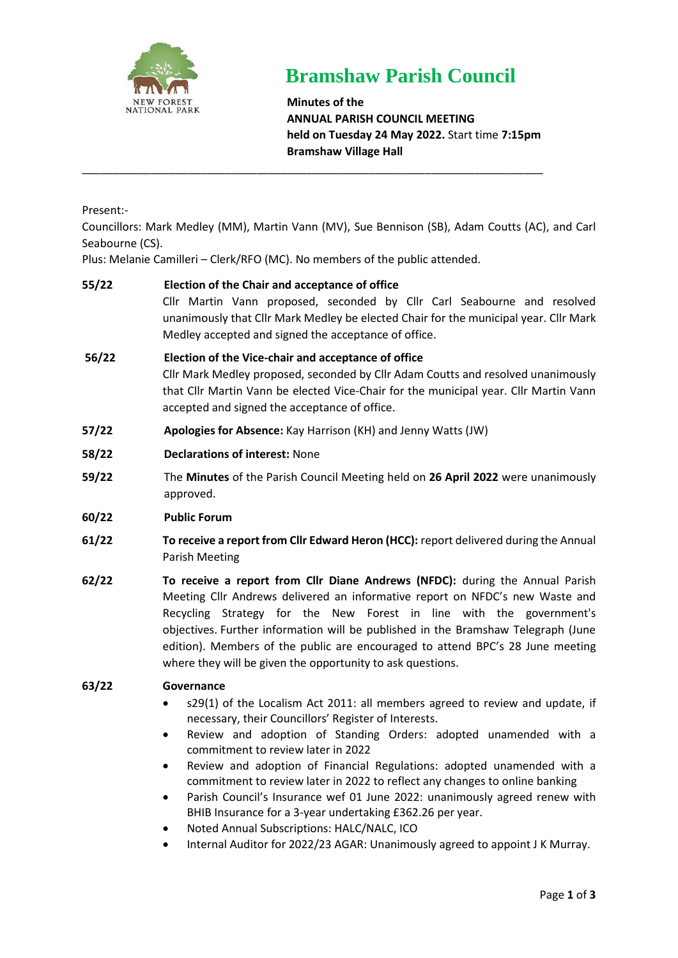

# **Bramshaw Parish Council**

**Minutes of the ANNUAL PARISH COUNCIL MEETING held on Tuesday 24 May 2022.** Start time **7:15pm Bramshaw Village Hall**

Present:-

Councillors: Mark Medley (MM), Martin Vann (MV), Sue Bennison (SB), Adam Coutts (AC), and Carl Seabourne (CS).

\_\_\_\_\_\_\_\_\_\_\_\_\_\_\_\_\_\_\_\_\_\_\_\_\_\_\_\_\_\_\_\_\_\_\_\_\_\_\_\_\_\_\_\_\_\_\_\_\_\_\_\_\_\_\_\_\_\_\_\_\_\_\_\_\_\_\_\_\_\_\_\_\_\_

Plus: Melanie Camilleri – Clerk/RFO (MC). No members of the public attended.

# **55/22 Election of the Chair and acceptance of office** Cllr Martin Vann proposed, seconded by Cllr Carl Seabourne and resolved unanimously that Cllr Mark Medley be elected Chair for the municipal year. Cllr Mark Medley accepted and signed the acceptance of office. **56/22 Election of the Vice-chair and acceptance of office**

Cllr Mark Medley proposed, seconded by Cllr Adam Coutts and resolved unanimously that Cllr Martin Vann be elected Vice-Chair for the municipal year. Cllr Martin Vann accepted and signed the acceptance of office.

- **57/22 Apologies for Absence:** Kay Harrison (KH) and Jenny Watts (JW)
- **58/22 Declarations of interest:** None
- **59/22** The **Minutes** of the Parish Council Meeting held on **26 April 2022** were unanimously approved.
- **60/22 Public Forum**
- **61/22 To receive a report from Cllr Edward Heron (HCC):** report delivered during the Annual Parish Meeting
- **62/22 To receive a report from Cllr Diane Andrews (NFDC):** during the Annual Parish Meeting Cllr Andrews delivered an informative report on NFDC's new Waste and Recycling Strategy for the New Forest in line with the government's objectives. Further information will be published in the Bramshaw Telegraph (June edition). Members of the public are encouraged to attend BPC's 28 June meeting where they will be given the opportunity to ask questions.

#### **63/22 Governance**

- s29(1) of the Localism Act 2011: all members agreed to review and update, if necessary, their Councillors' Register of Interests.
- Review and adoption of Standing Orders: adopted unamended with a commitment to review later in 2022
- Review and adoption of Financial Regulations: adopted unamended with a commitment to review later in 2022 to reflect any changes to online banking
- Parish Council's Insurance wef 01 June 2022: unanimously agreed renew with BHIB Insurance for a 3-year undertaking £362.26 per year.
- Noted Annual Subscriptions: HALC/NALC, ICO
- Internal Auditor for 2022/23 AGAR: Unanimously agreed to appoint J K Murray.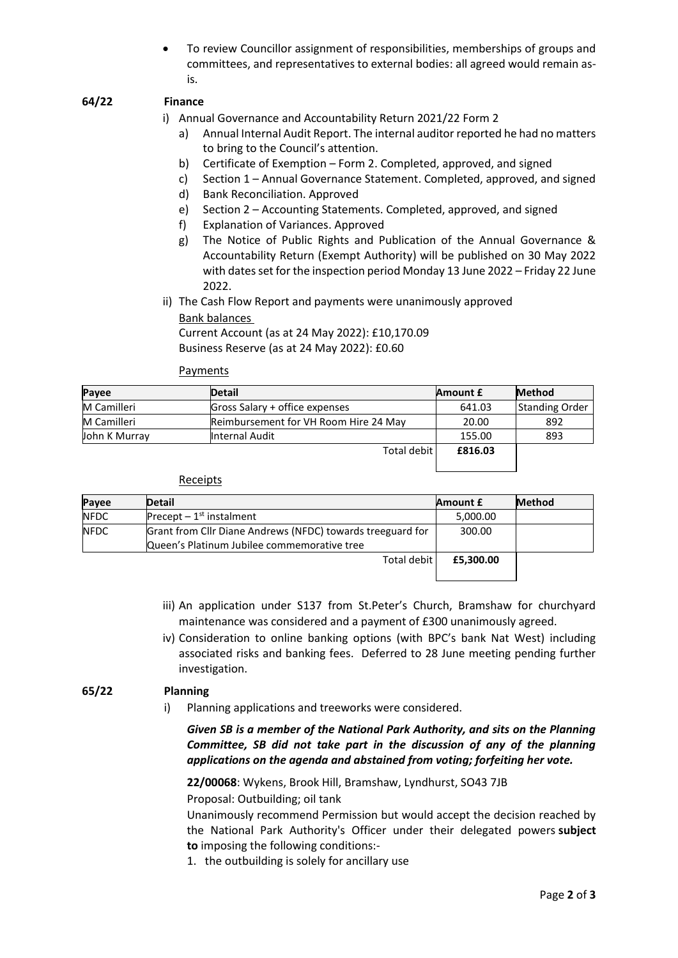• To review Councillor assignment of responsibilities, memberships of groups and committees, and representatives to external bodies: all agreed would remain asis.

# **64/22 Finance**

i) Annual Governance and Accountability Return 2021/22 Form 2

- a) Annual Internal Audit Report. The internal auditor reported he had no matters to bring to the Council's attention.
- b) Certificate of Exemption Form 2. Completed, approved, and signed
- c) Section 1 Annual Governance Statement. Completed, approved, and signed
- d) Bank Reconciliation. Approved
- e) Section 2 Accounting Statements. Completed, approved, and signed
- f) Explanation of Variances. Approved
- g) The Notice of Public Rights and Publication of the Annual Governance & Accountability Return (Exempt Authority) will be published on 30 May 2022 with dates set for the inspection period Monday 13 June 2022 – Friday 22 June 2022.
- ii) The Cash Flow Report and payments were unanimously approved Bank balances Current Account (as at 24 May 2022): £10,170.09

Business Reserve (as at 24 May 2022): £0.60

#### Payments

| Payee         | <b>Detail</b>                         | <b>Amount £</b> | <b>Method</b>         |
|---------------|---------------------------------------|-----------------|-----------------------|
| M Camilleri   | Gross Salary + office expenses        | 641.03          | <b>Standing Order</b> |
| M Camilleri   | Reimbursement for VH Room Hire 24 May | 20.00           | 892                   |
| John K Murray | Internal Audit                        | 155.00          | 893                   |
|               | Total debit                           | £816.03         |                       |

#### Receipts

| Payee       | <b>Detail</b>                                              | Amount £  | <b>Method</b> |
|-------------|------------------------------------------------------------|-----------|---------------|
| NFDC        | Precept $-1st$ instalment                                  | 5,000.00  |               |
| <b>NFDC</b> | Grant from Cllr Diane Andrews (NFDC) towards treeguard for | 300.00    |               |
|             | Queen's Platinum Jubilee commemorative tree                |           |               |
|             | Total debit                                                | £5,300.00 |               |
|             |                                                            |           |               |

- iii) An application under S137 from St.Peter's Church, Bramshaw for churchyard maintenance was considered and a payment of £300 unanimously agreed.
- iv) Consideration to online banking options (with BPC's bank Nat West) including associated risks and banking fees. Deferred to 28 June meeting pending further investigation.

#### **65/22 Planning**

i) Planning applications and treeworks were considered.

*Given SB is a member of the National Park Authority, and sits on the Planning Committee, SB did not take part in the discussion of any of the planning applications on the agenda and abstained from voting; forfeiting her vote.*

**22/00068**: Wykens, Brook Hill, Bramshaw, Lyndhurst, SO43 7JB

Proposal: Outbuilding; oil tank

Unanimously recommend Permission but would accept the decision reached by the National Park Authority's Officer under their delegated powers **subject to** imposing the following conditions:-

1. the outbuilding is solely for ancillary use